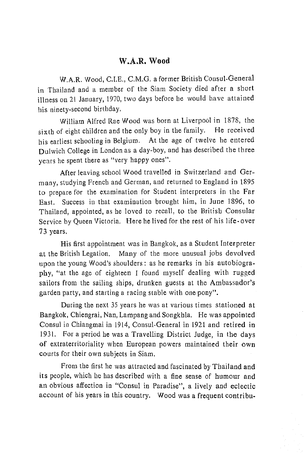## W.A.R. Wood

W.A.R. Wood, C.I.E., C.M.G. a former British Consul-General in Thailand and a member of the Siam Society died after a short illness on 21 January, 1970, two days before he would have attained his ninety-second birthday.

William Alfred Rae Wood was born at Liverpool in 1878, the sixth of eight children and the only boy in the family. He received his earliest schooling in Belgium. At the age of twelve he entered Dulwich College in London as a day-boy, and has described the three years he spent there as "very happy ones".

After leaving school Wood travelled in Switzerland and Germany, studying French and German, and returned to England in 1895 to prepare for the examination for Student interpreters in the Far East. Success in that examination brought him, in June 1896, to Thailand, appointed, as he loved to recall, to the British Consular Service by Queen Victoria. Here he lived for the rest of his life-over 73 years.

His first appointment was in Bangkok, as a Student Interpreter at the British Legation. Many of the more unusual jobs devolved upon the young Wood's shoulders: as he remarks in his autobiography, "at the age of eighteen I found myself dealing with rugged sailors from the sailing ships, drunken guests at the Ambassador's garden party, and starting a racing stable with one pony".

During the next 35 years he was at various times stationed at Bangkok, Chiengrai, Nan, Lampang and Songkhla. He was appointed Consul in Chiangmai in 1914, Consul-General in 1921 and retired in 1931. For a period he was a Travelling District Judge, in the days of extraterritoriality when European powers maintained their own courts for their own subjects in Siam.

From the first he was attracted and fascinated by Thailand and its people, which he has described with a fine sense of humour and an obvious affection in "Consul in Paradise", a lively and eclectic account of his years in this country. Wood was a frequent contribu-